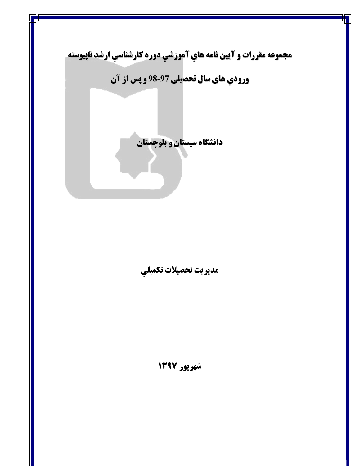

مديريت تحصيلات تكميلي

شهريور ١٣٩٧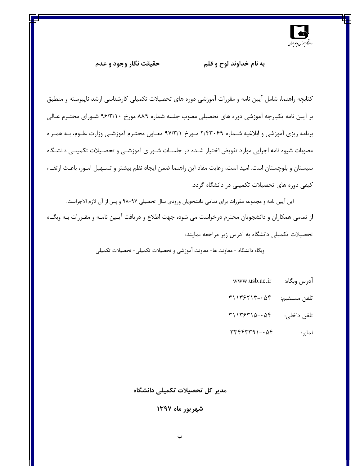

حقیقت نگار وجود و عدم

#### به نام خداوند لوح و قلم

کتابچه راهنما، شامل آیین نامه و مقررات آموزشی دوره های تحصیلات تکمیلی کارشناسی ارشد ناپیوسته و منطبق بر اَيين نامه يکپارچه اَموزشي دوره هاي تحصيلي مصوب جلسه شماره ۸۸۹ مورخ ۹۶/۳/۱۰ شـوراي محتـرم عـالي برنامه ریزی آموزشی و ابلاغیه شـماره ۲/۴۳۰۶۹ مـورخ ۹۷/۳/۱ معـاون محتـرم آموزشـی وزارت علـوم، بـه همـراه مصوبات شیوه نامه اجرایی موارد تفویض اختیار شـده در جلسـات شـورای آموزشـی و تحصـیلات تکمیلـی دانشـگاه سیستان و بلوچستان است. امید است، رعایت مفاد این راهنما ضمن ایجاد نظم بیشتر و تسـهیل امـور، باعـث ارتقـاء کیفی دوره های تحصیلات تکمیلی در دانشگاه گردد.

این آیین نامه و مجموعه مقررات برای تمامی دانشجویان ورودی سال تحصیلی ۹۷-۹۸ و پس از آن لازم الاجراست. از تمامی همکاران و دانشجویان محترم درخواست می شود، جهت اطلاع و دریافت آیـین نامـه و مقـررات بـه وبگـاه تحصیلات تکمیلی دانشگاه به آدرس زیر مراجعه نمایند:

وبگاه دانشگاه - معاونت ها- معاونت آموزشی و تحصیلات تکمیلی- تحصیلات تکمیلی

- ادرس وبگاه: www.usb.ac.ir
- $T1175717 07$ تلفن مستقيم:
- $T1175710 \Delta 5$ تلفن داخلي:
- $\Upsilon$ نمابر:

#### مدیر کل تحصیلات تکمیلی دانشگاه

شهریور ماه ۱۳۹۷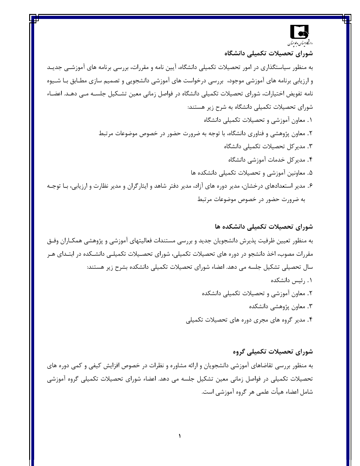## دانج ۇستان وغومتىآن

شورای تحصیلات تکمیلی دانشگاه به منظور سیاستگذاری در امور تحصیلات تکمیلی دانشگاه، آیین نامه و مقررات، بررسی برنامه های آموزشـی جدیـد و ارزیابی برنامه های آموزشی موجود، بررسی درخواست های آموزشی دانشجویی و تصمیم سازی مطـابق بـا شـیوه نامه تفویض اختیارات، شورای تحصیلات تکمیلی دانشگاه در فواصل زمانی معین تشـکیل جلســه مــی دهــد. اعضــاء شورای تحصیلات تکمیلی دانشگاه به شرح زیر هستند: ۰۱ معاون آموزشی و تحصیلات تکمیلی دانشگاه ۲. معاون پژوهشی و فناوری دانشگاه، با توجه به ضرورت حضور در خصوص موضوعات مرتبط ۳. مدیر کل تحصیلات تکمیلی دانشگاه ۴. مدیر کل خدمات آموزشی دانشگاه ۵. معاونین آموزشی و تحصیلات تکمیلی دانشکده ها ۶. مدیر استعدادهای درخشان، مدیر دوره های آزاد، مدیر دفتر شاهد و ایثارگران و مدیر نظارت و ارزیابی، بـا توجـه به ضرورت حضور در خصوص موضوعات مرتبط

شورای تحصیلات تکمیلی دانشکده ها به منظور تعیین ظرفیت پذیرش دانشجویان جدید و بررسی مستندات فعالیتهای آموزشی و پژوهشی همکـاران وفـق مقررات مصوب، اخذ دانشجو در دوره های تحصیلات تکمیلی، شورای تحصـیلات تکمیلـی دانشـکده در ابتـدای هـر سال تحصیلی تشکیل جلسه می دهد. اعضاء شورای تحصیلات تکمیلی دانشکده بشرح زیر هستند: ۰۱ , ئیس دانشکده ۲. معاون آموزشی و تحصیلات تکمیلی دانشکده ۳. معاون پژوهشی دانشکده ۴. مدیر گروه های مجری دوره های تحصیلات تکمیلی

شورای تحصیلات تکمیلی گروه به منظور بررسی تقاضاهای آموزشی دانشجویان و ارائه مشاوره و نظرات در خصوص افزایش کیفی و کمی دوره های تحصیلات تکمیلی در فواصل زمانی معین تشکیل جلسه می دهد. اعضاء شورای تحصیلات تکمیلی گروه آموزشی شامل اعضاء هيأت علمي هر گروه آموزشي است.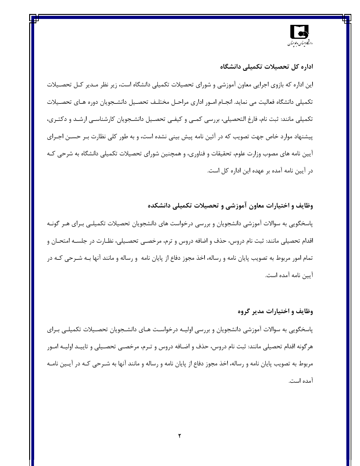

#### اداره کل تحصیلات تکمیلی دانشگاه

این اداره که بازوی اجرایی معاون آموزشی و شورای تحصیلات تکمیلی دانشگاه است، زیر نظر مـدیر کـل تحصـیلات تكميلي دانشگاه فعاليت مي نمايد. انجــام امــور اداري مراحــل مختلــف تحصــيل دانشــجويان دوره هــاي تحصــيلات تکمیلی مانند: ثبت نام، فارغ التحصیلی، بررسی کمبی و کیفـی تحصـیل دانشـجویان کارشناسـی ارشـد و دکتـری، پیشنهاد موارد خاص جهت تصویب که در آئین نامه پیش بینی نشده است، و به طور کلی نظارت بـر حسـن اجـرای آيين نامه هاي مصوب وزارت علوم، تحقيقات و فناوري، و همچنين شوراي تحصيلات تكميلي دانشگاه به شرحي كـه در آیین نامه آمده بر عهده این اداره کل است.

#### وظایف و اختیارات معاون آموزشی و تحصیلات تکمیلی دانشکده

پاسخگویی به سوالات آموزشی دانشجویان و بررسی درخواست های دانشجویان تحصیلات تکمیلـی بـرای هـر گونـه اقدام تحصیلی مانند: ثبت نام دروس، حذف و اضافه دروس و ترم، مرخصـی تحصـیلی، نظـارت در جلسـه امتحـان و تمام امور مربوط به تصویب پایان نامه و رساله، اخذ مجوز دفاع از پایان نامه و رساله و مانند آنها بــه شــرحی کــه در آيين نامه آمده است.

#### وظايف و اختيارات مدير گروه

پاسخگویی به سوالات آموزشی دانشجویان و بررسی اولیـه درخواسـت هـای دانشـجویان تحصـیلات تکمیلـی بـرای هرگونه اقدام تحصیلی مانند: ثبت نام دروس، حذف و اضـافه دروس و تـرم، مرخصـی تحصـیلی و تاییـد اولیـه امـور مربوط به تصویب پایان نامه و رساله، اخذ مجوز دفاع از پایان نامه و رساله و مانند آنها به شـرحی کـه در آیـین نامـه آمده است.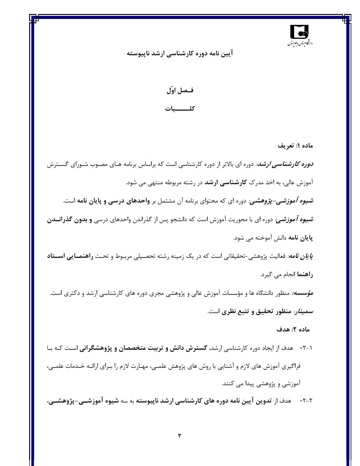

آیین نامه دوره کارشناسی ارشد ناپیوسته

### فـصل اوّل كلـــــــيات

ماده ۱: تعريف

*دوره کارشناسی ارشد:* دوره ای بالاتر از دوره کارشناسی است که براساس برنامه هـای مصـوب شـورای گســترش آموزش عالی، به اخذ مدرک **کارشناسی ارشد** در رشته مربوطه منتهی می شود. *شیوه آموزشی-پژوهشی:* دوره ای که محتوای برنامه آن مشتمل بر **واحدهای درسی و پایان نامه** است. *شیوه آموزشی:* دوره ای با محوریت آموزش است که دانشجو پس از گذراندن واحدهای درسی **و بدون گذرانــدن پایان نامه** دانش آموخته می شود. *پایان نامه:* فعالیت پژوهشی-تحقیقاتی است که در یک زمینه رشته تحصـیلی مربـوط و تحـت **راهنمــایی اســتاد** راهنما انجام مي گيرد. *مؤسسه:* منظور دانشگاه ها و مؤسسات آموزش عالی و پژوهشی مجری دوره های کارشناسی ارشد و دکتری است. *سمینار:* منظور تحقیق و تتبع نظری است.

#### ماده ۲: هدف

۱-۲- هدف از ایجاد دوره کارشناسی ارشد**، گسترش دانش و تربیت متخصصان و پژوهشگرانی** اسـت کـه بـا فراگیری آموزش های لازم و آشنایی با روش های پژوهش علمـی، مهـارت لازم را بـرای ارائـه خـدمات علمـی، آموزشی و پژوهشی پیدا می کنند.

٢-٢- \_ هدف از تدوين آيين نامه دوره هاي كارشناسي ارشد ناپيوسته به سه شيوه آموزشــي-پژوهشــي،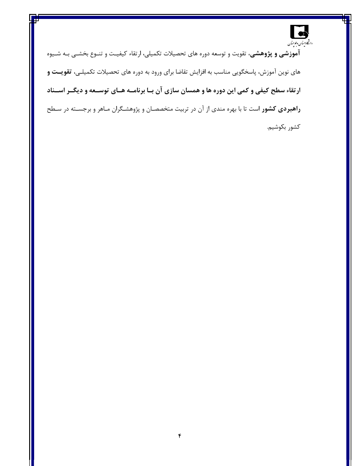

آم**وزشی و پژوهشی،** تقویت و توسعه دوره های تحصیلات تکمیلی، ارتقاء کیفیـت و تنـوع بخشـی بـه شـیوه های نوین آموزش، پاسخگویی مناسب به افزایش تقاضا برای ورود به دوره های تحصیلات تکمیلـی، **تقویــت و** ارتقاء سطح کیفی و کمی این دوره ها و همسان سازی آن بـا برنامــه هـای توســعه و دیگــر اســناد **راهبردی کشور** است تا با بهره مندی از آن در تربیت مت*خصص*ان و پژوهشـگران مـاهر و برجسـته در سـطح كشور بكوشيم.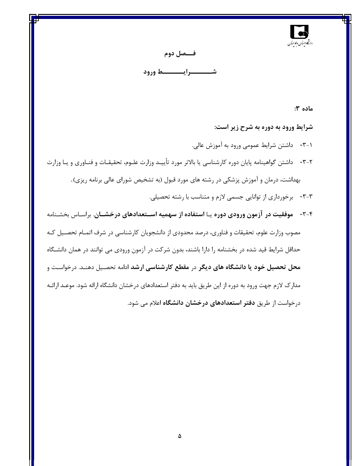

#### فـــصل دوم

ماده ۳:

شرایط ورود به دوره به شرح زیر است:

٠-٣- داشتن شرايط عمومي ورود به آموزش عالي.

- ۲-۳- داشتن گواهینامه پایان دوره کارشناسی یا بالاتر مورد تأییـد وزارت علـوم، تحقیقـات و فنـاوری و یـا وزارت بهداشت، درمان و آموزش پزشکی در رشته های مورد قبول (به تشخیص شورای عالی برنامه ریزی). ٣-٣- برخورداري از توانايي جسمي لازم و متناسب با رشته تحصيلي.
- ۴-۳- موفقیت در آزمون ورودی دوره یـا استفاده از سهمیه اســتعدادهای درخشــان. براسـاس بخشـنامه مصوب وزارت علوم، تحقیقات و فناوری، درصد محدودی از دانشجویان کارشناسی در شرف اتمـام تحصـیل کـه حداقل شرایط قید شده در بخشنامه را دارا باشند، بدون شرکت در آزمون ورودی می توانند در همان دانشگاه محل تحصیل خود یا دانشگاه های دیگر در مقطع کارشناسی ارشد ادامه تحصیل دهنـد. درخواسـت و مدارک لازم جهت ورود به دوره از این طریق باید به دفتر استعدادهای درخشان دانشگاه ارائه شود. موعـد ارائـه درخواست از طریق **دفتر استعدادهای درخشان دانشگاه** اعلام می شود.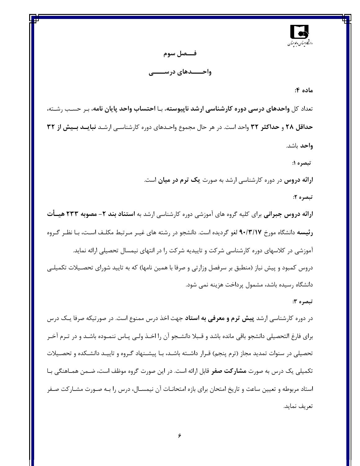

### فـــصل سوم واحـــــدهای درســــــی

#### ماده ۴:

تعداد کل واحدهای درسی دوره کارشناسی ارشد ناپیوسته، بـا احتساب واحد پایان نامه، بـر حسـب رشـته، حداقل ۲۸ و حداکثر ۳۲ واحد است. در هر حال مجموع واحـدهای دوره کارشناسـی ارشـد نبایــد بــیش از ۳۲ واحد باشد.

تبصره ۱:

ارائه دروس در دوره کارشناسی ارشد به صورت یک ترم در میان است.

تبصره ۲:

ارائه دروس جبرانی برای کلیه گروه های آموزشی دوره کارشناسی ارشد به استناد بند ۲- مصوبه ۲۳۳ هیسأت رئیسه دانشگاه مورخ ۹۰/۳/۱۷ لغو گردیده است. دانشجو در رشته های غیـر مـرتبط مکلـف اسـت، بـا نظـر گـروه آموزشی در کلاسهای دوره کارشناسی شرکت و تاییدیه شرکت را در انتهای نیمسال تحصیلی ارائه نماید. دروس کمبود و پیش نیاز (منطبق بر سرفصل وزارتی و صرفا با همین نامها) که به تایید شورای تحصـیلات تکمیلـی دانشگاه رسیده باشد، مشمول پرداخت هزینه نمی شود.

#### تبصره ۳:

در دوره کارشناسی ارشد **پیش ترم و معرفی به استاد** جهت اخذ درس ممنوع است. در صورتیکه صرفا یـک درس برای فارغ التحصیلی دانشجو باقی مانده باشد و قـبلا دانشـجو آن را اخـذ ولـی پـاس ننمـوده باشـد و در تـرم آخـر تحصیلی در سنوات تمدید مجاز (ترم پنجم) قـرار داشـته باشـد، بـا پیشـنهاد گـروه و تاییـد دانشـکده و تحصـیلات تکمیلی یک درس به صورت **مشارکت صفر** قابل ارائه است. در این صورت گروه موظف است، ضـمن همـاهنگی بـا استاد مربوطه و تعیین ساعت و تاریخ امتحان برای بازه امتحانــات آن نیمســال، درس را بــه صــورت مشــارکت صــفر تعريف نمايد.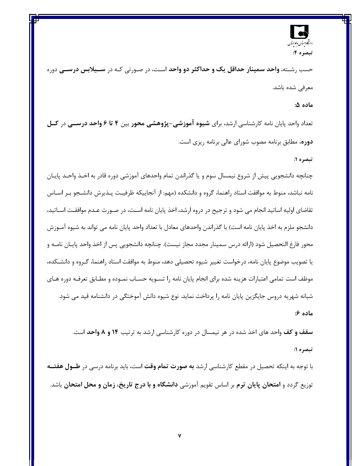## دانج وستان وعوحسان تبصره ۴:

حسب , شـته، **واحد سمینار حداقل یک و حداکثر دو واحد** اسـت، در صـورتی کـه در **ســیلابس درســی** دوره معرفی شده باشد.

#### ماده ۵:

تعداد واحد پایان نامه کارشناسی ارشد، برای شیوه آموزشی–پژوهشی محور بین ۴ تا ۶ واحد درســی در کــل **دوره،** مطابق برنامه مصوب شورای عالی برنامه ریزی است.

#### تبصره ۱:

چنانچه دانشجویی پیش از شروع نیمسال سوم و یا گذراندن تمام واحدهای آموزشی دوره قادر به اخـذ واحـد پایــان نامه نباشد، منوط به موافقت استاد راهنما، گروه و دانشکده (مهم: از آنجاییکه ظرفیـت پـذیرش دانشـجو بـر اســاس تقاضای اولیه اساتید انجام می شود و ترجیح در دروه ارشد، اخذ پایان نامه اسـت، در صـورت عـدم موافقـت اســاتید، دانشجو ملزم به اخذ پایان نامه است) با گذراندن واحدهای معادل با تعداد واحد پایان نامه می تواند به شیوه آمــوزش محور فارغ التحصيل شود (ارائه درس سمينار مجدد مجاز نيست). چنانچه دانشجويي پس از اخذ واحد پايــان نامــه و یا تصویب موضوع پایان نامه، درخواست تغییر شیوه تحصیلی دهد، منوط به موافقت استاد راهنما، گـروه و دانشـكده، موظف است تمامی اعتبارات هزینه شده برای انجام پایان نامه را تسـویه حسـاب نمـوده و مطـابق تعرفـه دوره هـای شبانه شهریه دروس جایگزین پایان نامه را پرداخت نماید. نوع شیوه دانش آموختگی در دانشنامه قید می شود. ماده ۶:

**سقف و کف** واحد های اخذ شده در هر نیمسال در دوره کارشناسی ارشد به ترتیب **۱۴ و ۸ واحد** است. تبصره ۱:

با توجه به اینکه تحصیل در مقطع کارشناسی ارشد **به صورت تمام وقت** است، باید برنامه درسی در **طــول هفتــه** توزیع گردد و امتحان پایان ترم بر اساس تقویم آموزشی دانشگاه و با درج تاریخ، زمان و محل امتحان باشد.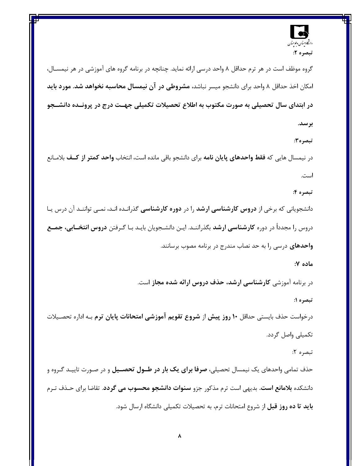

گروه موظف است در هر ترم حداقل ۸ واحد درسی ارائه نماید. چنانچه در برنامه گروه های آموزشی در هر نیمســال، امکان اخذ حداقل ۸ واحد برای دانشجو میسر نباشد**، مشروطی در آن نیمسال محاسبه نخواهد شد. مورد باید** در ابتدای سال تحصیلی به صورت مکتوب به اطلاع تحصیلات تکمیلی جهست درج در پرونسده دانشــجو بر سد.

تبصره۲:

در نيمسال هايي كه **فقط واحدهاي پايان نامه** براي دانشجو باقي مانده است، انتخاب **واحد كمتر از كــف** بلامــانع است.

تبصره ۴:

دانشجویانی که برخی از **دروس کارشناسی ارشد** را در **دوره کارشناسی** گذرانـده انـد، نمـی تواننـد آن درس یـا دروس را مجدداً در دوره **کارشناسی ارشد** بگذراننـد. ایـن دانشـجویان بایـد بـا گـرفتن **دروس انتخــابی، جمــع واحدهای** درسی را به حد نصاب مندرج در برنامه مصوب برسانند.

ماده ۷:

در برنامه آموزشی کارشناسی ارشد، حذف دروس ارائه شده مجاز است.

تبصره ۱:

درخواست حذف بایستی حداقل **۱۰ روز پیش** از **شروع تقویم آموزشی امتحانات پایان ترم** بـه اداره تحصـیلات تكميلي واصل گردد.

تبصره ۲:

حذف تمامی واحدهای یک نیمسال تحصیلی**، صرفا برای یک بار در طــول تحصــیل** و در صـورت تاییـد گـروه و دانشکده **بلامانع است.** بدیهی است ترم مذکور جزو **سنوات دانشجو محسوب می گردد**. تقاضا برای حـذف تـرم **باید تا ده روز قبل** از شروع امتحانات ترم، به تحصیلات تکمیلی دانشگاه ارسال شود.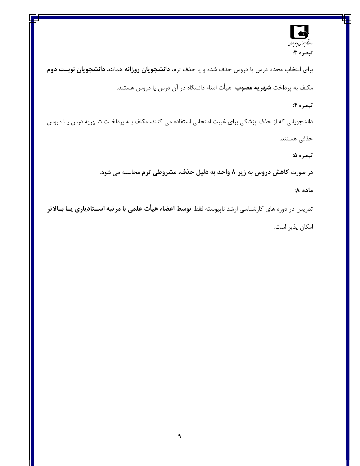

برای انتخاب مجدد درس یا دروس حذف شده و یا حذف ترم، **دانشجویان روزانه** همانند **دانشجویان نوبـت دوم** مکلف به پرداخت **شهریه مصوب** هیأت امناء دانشگاه در آن درس یا دروس هستند.

#### تبصره ۴:

دانشجویانی که از حذف پزشکی برای غیبت امتحانی استفاده می کنند، مکلف بــه پرداخـت شــهریه درس یــا دروس

حذفی هستند.

تبصره ۵:

در صورت کاهش دروس به زیر ۸ واحد به دلیل حذف، مشروطی ترم محاسبه می شود.

ماده ۸:

تدریس در دوره های کارشناسی ارشد ناپیوسته فقط ت**وسط اعضاء هیأت علمی با مرتبه اســتادیاری یــا بــالاتر** امكان پذير است.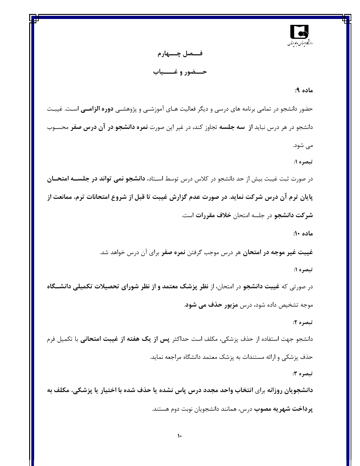

فـــصل چــــهارم حـــضور و غـــــياب

#### ماده ۹:

حضور دانشجو در تمامی برنامه های درسی و دیگر فعالیت هـای آموزشــی و پژوهشــی **دوره الزامــی** اســت. غیبــت دانشجو در هر درس نباید **از سه جلسه** تجاوز کند، در غیر این صورت **نمره دانشجو در آن درس صفر** محسـوب می شود.

تبصره ۱:

در صورت ثبت غیبت بیش از حد دانشجو در کلاس درس توسط اسـتاد**، دانشجو نمی تواند در جلســه امتحــان** پایان ترم آن درس شرکت نماید. در صورت عدم گزارش غیبت تا قبل از شروع امتحانات ترم، ممانعت از شرکت دانشجو در جلسه امتحان **خلاف مقررات** است.

ماده ۱۰:

**غیبت غیر موجه در امتحان** هر درس موجب گرفتن **نمره صفر** برای آن درس خواهد شد. تبصره ۱:

در صورتی که غیبت دانشجو در امتحان، از نظر پزشک معتمد و از نظر شورای تحصیلات تکمیلی دانشــگاه موجه تشخیص داده شود، درس **مزبور حذف می شود**.

تبصره ۲:

دانشجو جهت استفاده از حذف پزشکی، مکلف است حداکثر **پس از یک هفته از غیبت امتحانی** با تکمیل فرم حذف پزشکی و ارائه مستندات به پزشک معتمد دانشگاه مراجعه نماید.

تبصره ۳:

دانشجویان روزانه برای انتخاب واحد مجدد درس پاس نشده یا حذف شده با اختیار یا پزشکی، مکلف به **پرداخت شهریه مصوب** درس، همانند دانشجویان نوبت دوم هستند.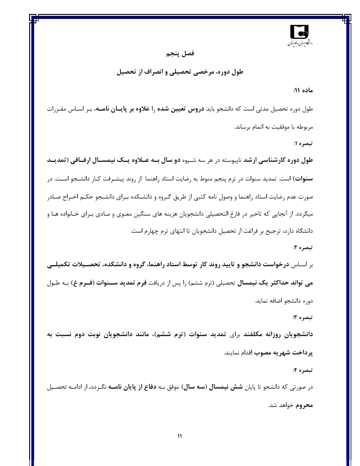

#### فصل پنجم

#### طول دوره، مرخصی تحصیلی و انصراف از تحصیل

#### ماده ۱۱:

طول دوره تحصیل مدتی است که دانشجو باید **دروس تعیین شده** را **علاوه بر پایسان نامسه**، بـر اسـاس مقـررات مربوطه با موفقیت به اتمام برساند.

تبصره ۱:

طول دوره کارشناسی ارشد ناپیوسته در هر سه شـیوه دو سال بـه عــلاوه یــک نیمســال ارفــاقی (تمدیــد **سنوات**) است. تمدید سنوات در ترم پنجم منوط به رضایت استاد راهنما از روند پیشـرفت کـار دانشـجو اسـت. در صورت عدم رضایت استاد راهنما و وصول نامه کتبی از طریق گـروه و دانشــکده بـرای دانشـجو حکــم اخـراج صــادر میگردد. از آنجایی که تاخیر در فارغ التحصیلی دانشجویان هزینه های سنگین معنوی و مـادی بـرای خـانواده هـا و دانشگاه دارد، ترجیح بر فراغت از تحصیل دانشجویان تا انتهای ترم چهارم است.

#### تبصره ۲:

بر اسـاس درخواست دانشجو و تایید روند کار توسط استاد راهنما، گروه و دانشکده، تحصـیلات تکمیلــی می تواند حداکثر یک نیمسال تحصیلی (ترم ششم) را پس از دریافت فرم تمدید ســنوات (فــرم غ) بـه طـول دوره دانشجو اضافه نمايد.

#### تبصره 3:

دانشجویان روزانه مکلفند برای تمدید سنوات (ترم ششم)، مانند دانشجویان نوبت دوم نسبت به پرداخت شهر به مصوب اقدام نمایند.

#### تبصره ۴:

در صورتی که دانشجو تا پایان **شش نیمسال (سه سال)** موفق بـه **دفاع از پایان نامــه** نگـردد، از ادامـه تحصـیل محروم خواهد شد.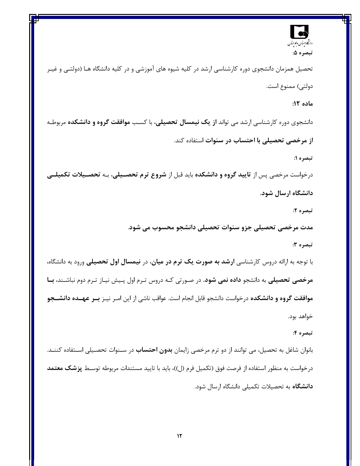

تحصیل همزمان دانشجوی دوره کارشناسی ارشد در کلیه شیوه های آموزشی و در کلیه دانشگاه هـا (دولتـی و غیـر دولتي) ممنوع است.

#### ماده ۱۲:

دانشجوی دوره کارشناسی ارشد می تواند **از یک نیمسال تحصیلی،** با کسب **موافقت گروه و دانشکده** مربوطـه از مرخصی تحصیلی با احتساب در سنوات استفاده کند.

تبصره ۱:

درخواست مرخصی پس از تایید گروه و دانشکده باید قبل از شروع ترم تحصـیلی، بـه تحصـیلات تکمیلــی دانشگاه ارسال شود.

تبصره ۲:

مدت مرخصی تحصیلی جزو سنوات تحصیلی دانشجو محسوب می شود.

تبصره ۳:

با توجه به ارائه دروس کارشناسی **ارشد به صورت یک ترم در میان**، در **نیمسال اول تحصیلی** ورود به دانشگاه، مرخصی تحصیلی به دانشجو **داده نمی شود**. در صورتی کـه دروس تـرم اول پـیش نیـاز تـرم دوم نباشـند، **بــا موافقت گروه و دانشکده** درخواست دانشجو قابل انجام است. عواقب ناشی از این امـر نیـز **بــر عهــده دانشــجو** خواهد بود.

#### تبصره ۴:

بانوان شاغل به تحصیل، می توانند از دو ترم مرخصی زایمان **بدون احتساب** در ســنوات تحصـیلی اســتفاده کننــد. درخواست به منظور استفاده از فرصت فوق (تكميل فرم (ل))، بايد با تاييد مستندات مربوطه توسـط **پزشک معتمد** دانشگاه به تحصیلات تکمیلی دانشگاه ارسال شود.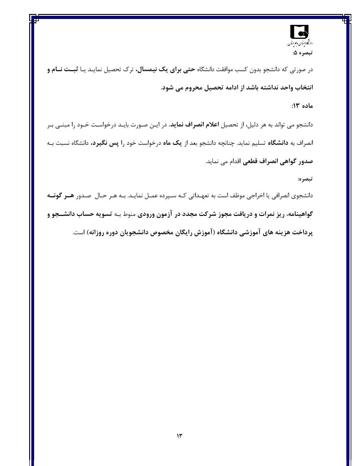

در صورتی که دانشجو بدون کسب موافقت دانشگاه **حتی برای یک نیمسال،** ترک تحصیل نمایـد یـا **ثبــت نــام و** انتخاب واحد نداشته باشد از ادامه تحصیل محروم می شود.

#### ماده ١٣:

دانشجو می تواند به هر دلیل، از تحصیل **اعلام انصراف نماید**. در ایـن صـورت بایـد درخواسـت خـود را مبنـی بـر انصراف به **دانشگاه** تسلیم نماید. چنانچه دانشجو بعد از یک ماه درخواست خود را پس نگیرد، دانشگاه نسبت بـه **صدور گواهی انصراف قطعی** اقدام می نماید.

#### تبصره:

دانشجوی انصرافی یا اخراجی موظف است به تعهـداتی کـه سـپرده عمـل نمایـد. بـه هـر حـال صـدور **هــر گونــه** گواهینامه، ریز نمرات و دریافت مجوز شرکت مجدد در آزمون ورودی منوط بـه تسویه حساب دانشــجو و پرداخت هزینه های آموزشی دانشگاه (آموزش رایگان مخصوص دانشجویان دوره روزانه) است.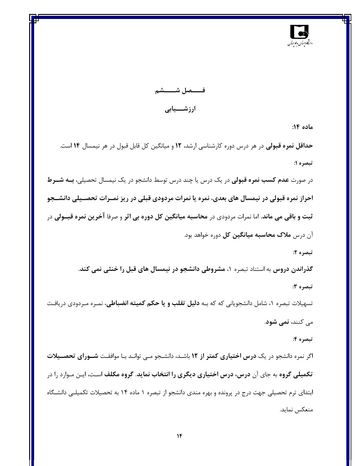

فــــــصل شــــــــشم ارزشـــيابى

ماده ۱۴:

حداقل نمره قبولی در هر درس دوره کارشناسی ارشد، ١٢ و میانگین کل قابل قبول در هر نیمسال ١۴ است. تبصره ۱:

در صورت **عدم کسب نمره قبولی** در یک درس یا چند درس توسط دانشجو در یک نیمسال تحصیلی**، بــه شــرط** احراز نمره قبولی در نیمسال های بعدی، نمره یا نمرات مردودی قبلی در ریز نمـرات تحصـیلی دانشــجو ثبت و باقی می ماند. اما نمرات مردودی در محاسبه میانگین کل دوره بی اثر و صرفا آخرین نمره قبــولی در آن درس **ملاک محاسبه میانگین کل** دوره خواهد بود.

تبصره ۲:

گذراندن دروس به استناد تبصره ۱، مشروطی دانشجو در نیمسال های قبل را خنثی نمی کند. تبصره ۳:

تسهیلات تبصره ۱، شامل دانشجویانی که که بـه **دلیل تقلب و یا حکم کمیته انضباطی،** نمـره مـردودی دریافـت می کنند، **نمی شود**.

#### تبصره ۴:

اگر نمره دانشجو در یک **درس اختیاری کمتر از ۱۲** باشـد، دانشـجو مـی توانـد بـا موافقـت **شــورای تحصــیلات تکمیلی گروه** به جای آن **درس، درس اختیاری دیگری را انتخاب نماید. گروه مکلف** اسـت، ایـن مـوارد را در ابتدای ترم تحصیلی جهت درج در پرونده و بهره مندی دانشجو از تبصره ۱ ماده ۱۴ به تحصیلات تکمیلـی دانشـگاه منعكس نمايد.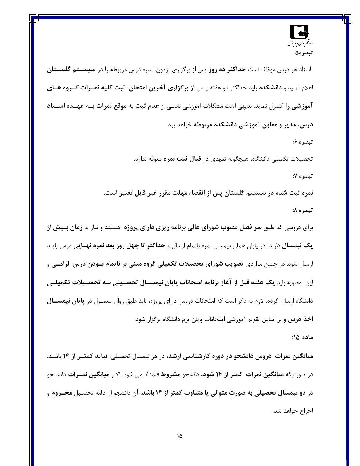

استاد هر درس موظف است **حداکثر ده روز** پس از برگزاری ازمون، نمره درس مربوطه را در **سیســتم گلســتان** اعلام نماید و **دانشکده** باید حداکثر دو هفته پـس ا**ز برگزاری آخرین امتحان، ثبت کلیه نمــرات گــروه هــای آموزشی را** کنترل نماید. بدیهی است مشکلات آموزشی ناشـی از **عدم ثبت به موقع نمرات بــه عهــده اســتاد** درس، مدیر و معاون آموزشی دانشکده مربوطه خواهد بود.

تبصره ۶:

تحصیلات تکمیلی دانشگاه، هیچگونه تعهدی در **قبال ثبت نمره** معوقه ندارد.

تبصره ٧:

نمره ثبت شده در سیستم گلستان پس از انقضاء مهلت مقرر غیر قابل تغییر است. تبصره ۸:

برای دروسی که طبق **سر فصل مصوب شورای عالی برنامه ریزی دارای پروژه** هستند و نیاز به **زمان بــیش از** یک نیمسال دارند، در پایان همان نیمسال نمره ناتمام ارسال و **حداکثر تا چهل روز بعد نمره نهــایی** درس بایـد ارسال شود. در چنین مواردی **تصویب شورای تحصیلات تکمیلی گروه مبنی بر ناتمام بــودن درس الزامــی** و این مصوبه باید یک هفته قبل از آغاز برنامه امتحانات پایان نیمســال تحصــیلی بــه تحصــیلات تکمیلــی دانشگاه ارسال گردد. لازم به ذکر است که امتحانات دروس دارای پروژه، باید طبق روال معمـول در **پایان نیمســال اخذ درس** و بر اساس تقویم آموزشی امتحانات پایان ترم دانشگاه برگزار شود.

ماده ۱۵:

میانگین نمرات دروس دانشجو در دوره کارشناسی ارشد، در هر نیمسال تحصیلی، نباید کمتــر از ۱۴ باشــد. در صورتیکه **میانگین نمرات کمتر از ۱۴ شود،** دانشجو **مشروط** قلمداد می شود. اگـر **میانگین نمــرات** دانشـجو در **دو نیمسال تحصیلی به صورت متوالی یا متناوب کمتر از ۱۴ باشد**، آن دانشجو از ادامه تحصـیل **محــروم** و اخراج خواهد شد.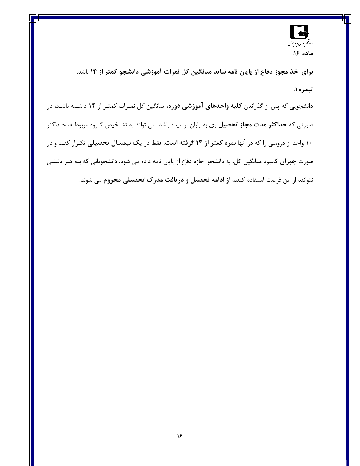

برای اخذ مجوز دفاع از پایان نامه نباید میانگین کل نمرات آموزشی دانشجو کمتر از ۱۴ باشد. تبصره ۱:

دانشجویی که پس از گذراندن **کلیه واحدهای آموزشی دوره**، میانگین کل نمـرات کمتـر از ۱۴ داشـته باشـد، در صورتی که **حداکثر مدت مجاز تحصیل** وی به پایان نرسیده باشد، می تواند به تشـخیص گـروه مربوطـه، حـداکثر ۱۰ واحد از دروسی را که در آنها **نمره کمتر از ۱۴ گرفته است،** فقط در ی**ک نیمسال تحصیلی** تکـرار کنـد و در صورت **جبران** کمبود میانگین کل، به دانشجو اجازه دفاع از پایان نامه داده می شود. دانشجویانی که بـه هـر دلیلـی نتوانند از این فرصت استفاده کنند**، از ادامه تحصیل و دریافت مدرک تحصیلی محروم** می شوند.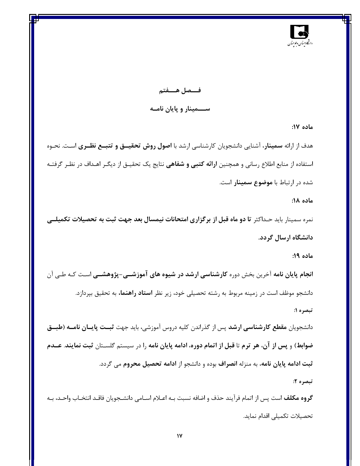

فـــصل هــــفتم ســــمینار و پایان نامــه

ماده ۱۷:

هدف از ارائه **سمینار**، آشنایی دانشجویان کارشناسی ارشد با **اصول روش تحقیسق و تتبسع نظـری** اسـت. نحـوه استفاده از منابع اطلاع رسانی و همچنین **ارائه کتبی و شفاهی** نتایج یک تحقیــق از دیگــر اهــداف در نظــر گرفتــه شده د<sub>ر</sub> ا<sub>د</sub>تباط با **موضوع سمینار** است.

ماده ۱۸:

نمره سمینار باید حـداکثر **تا دو ماه قبل از برگزاری امتحانات نیمسال بعد جهت ثبت به تحصیلات تکمیلــی** دانشگاه ارسال گردد.

ماده ۱۹:

**انجام پایان نامه** آخرین بخش دوره **کارشناسی ارشد در شیوه های آموزشــی-پژوهشــی** اسـت کـه طــی آن دانشجو موظف است در زمینه مربوط به رشته تحصیلی خود، زیر نظر **استاد راهنما،** به تحقیق بپردازد. تبصره ۱:

دانشجویان **مقطع کارشناسی ارشد** پس از گذراندن کلیه دروس آموزشی، باید جهت **ثبـت پایــان نامــه (طبــق** ضوابط) و پس از آن، هر ترم تا قبل از اتمام دوره، ادامه پایان نامه را در سیستم گلســتان ثبت نمایند. عــدم ثبت ادامه پایان نامه، به منزله انصراف بوده و دانشجو از ادامه تحصیل محروم می گردد. تبصره ۲:

**گروه مكلف** است پس از اتمام فرآيند حذف و اضافه نسبت بـه اعـلام اسـامي دانشـجويان فاقـد انتخـاب واحـد، بـه تحصيلات تكميلي اقدام نمايد.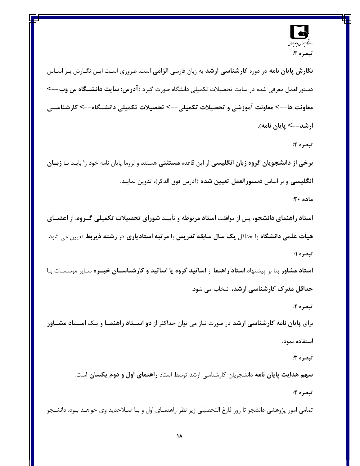

**نگارش پایان نامه** در دوره **کارشناسی ارشد** به زبان فارسی **الزامی** است. ضروری اسـت ایـن نگـارش بـر اسـاس دستورالعمل معرفی شده در سایت تحصیلات تکمیلی دانشگاه صورت گیرد (آ**درس: سایت دانشــگاه س وب**--> معاونت ها--> معاونت آموزشي و تحصيلات تكميلي--> تحصيلات تكميلي دانشــــــــاه--> كارشناســـي ارشد--> يايان نامه).

تبصره ۴:

برخی از دانشجویان گروه زبان انگلیسی از این قاعده مستثنی هستند و لزوما پایان نامه خود را بایـد بـا زبـان **انگلیسی** و بر اساس **دستورالعمل تعیین شده** (آدرس فوق الذکر)، تدوین نمایند.

ماده ۲۰:

استاد راهنمای دانشجو، پس از موافقت استاد مربوطه و تأییـد شورای تحصیلات تکمیلی گـروه، از اعضـای هیأت علمی دانشگاه با حداقل یک سال سابقه تدریس با مرتبه استادیاری در رشته ذیربط تعیین می شود. تبصره ۱:

ا**ستاد مشاور** بنا بر پیشنهاد ا**ستاد راهنما** از ا**ساتید گروه یا اساتید و کارشناسـان خبــره** سـایر موسسـات بـا حداقل مدرک کارشناسی ارشد، انتخاب می شود.

تبصره ۲:

برای پایان نامه کارشناسی ارشد در صورت نیاز می توان حداکثر از **دو اســتاد راهنمــا** و یـک اس**ــتاد مشــاور** استفاده نمود.

تبصره ٣:

سهم هدایت پایان نامه دانشجویان کارشناسی ارشد توسط استاد راهنمای اول و دوم یکسان است.

تبصره ۴:

تمامی امور پژوهشی دانشجو تا روز فارغ التحصیلی زیر نظر راهنمـای اول و بـا صـلاحدید وی خواهـد بـود. دانشـجو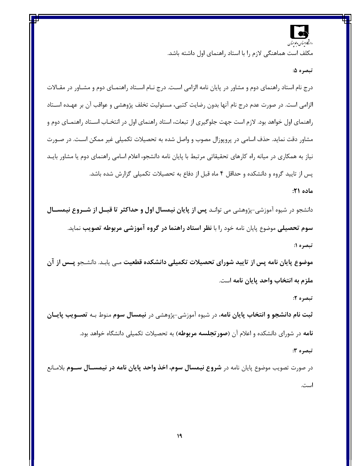

مکلف است هماهنگی لازم را با استاد راهنمای اول داشته باشد.

تبصره ۵:

درج نام استاد راهنمای دوم و مشاور در پایان نامه الزامی است. درج نـام اسـتاد راهنمـای دوم و مشـاور در مقـالات الزامي است. در صورت عدم درج نام آنها بدون رضايت كتبي، مسئوليت تخلف پژوهشي و عواقب آن بر عهـده اســتاد راهنمای اول خواهد بود. لازم است جهت جلوگیری از تبعات، استاد راهنمای اول در انتخـاب اســتاد راهنمــای دوم و مشاور دقت نماید. حذف اسامی در پروپوزال مصوب و واصل شده به تحصیلات تکمیلی غیر ممکن اسـت. در صـورت نیاز به همکاری در میانه راه کارهای تحقیقاتی مرتبط با پایان نامه دانشجو، اعلام اسامی راهنمای دوم یا مشاور بایـد پس از تایید گروه و دانشکده و حداقل ۴ ماه قبل از دفاع به تحصیلات تکمیلی گزارش شده باشد.

#### ماده ۲۱:

دانشجو در شیوه آموزشی-پژوهشی می توانـد **پس از پایان نیمسال اول و حداکثر تا قبــل از شــروع نیمســال** سوم تحصیلی موضوع پایان نامه خود را با نظر استاد راهنما در گروه آموزشی مربوطه تصویب نماید. تبصره ۱:

موضوع پایان نامه پس از تایید شورای تحصیلات تکمیلی دانشکده قطعیت مـی یابـد. دانشـجو پــس از آن ملزم به انتخاب واحد پایان نامه است.

تبصره ۲:

تبصره ۳:

ثبت نام دانشجو و انتخاب پایان نامه، در شیوه آموزشی-پژوهشی در نیمسال سوم منوط بـه تصـویب پایـان **نامه** در شورای دانشکده و اعلام آن (**صور تجلسه مربوطه**) به تحصیلات تکمیلی دانشگاه خواهد بود.

در صورت تصویب موضوع پایان نامه در **شروع نیمسال سوم، اخذ واحد پایان نامه در نیمســال ســوم** بلامـانع است.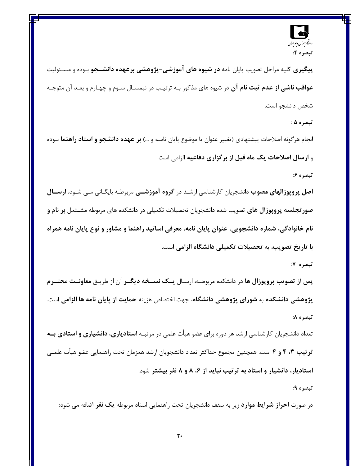

پیگیری کلیه مراحل تصویب پایان نامه **در شیوه های آموزشی-پژوهشی برعهده دانشــجو** بـوده و مسـئولیت **عواقب ناشی از عدم ثبت نام آن** در شیوه های مذکور بـه ترتیـب در نیمسـال سـوم و چهـارم و بعـد آن متوجـه شخص دانشجو است.

تبصره ۵ :

انجام هرگونه اصلاحات پیشنهادی (تغییر عنوان یا موضوع پایان نامـه و …) **بر عهده دانشجو و استاد راهنما** بـوده و ارسال اصلاحات یک ماه قبل از برگزاری دفاعیه الزامی است.

تبصره ۶:

**اصل پروپوزالهای مصوب** دانشجویان کارشناسی ارشـد در **گروه آموزشــی** مربوطـه بایگــانی مــی شــود. **ارســـال صور تجلسه پروپوزال های** تصویب شده دانشجویان تحصیلات تکمیلی در دانشکده های مربوطه مشــتمل **بر نام و** نام خانوادگی، شماره دانشجویی، عنوان پایان نامه، معرفی اساتید راهنما و مشاور و نوع پایان نامه همراه با تاریخ تصویب، به تحصیلات تکمیلی دانشگاه الزامی است.

تبصره ۷:

پس از تصویب پروپوزال ها در دانشکده مربوطـه، ارسـال یــک نســخه دیگــر آن از طریـق معاونــت محتــرم پژوهشی دانشکده به شورای پژوهشی دانشگاه، جهت اختصاص هزینه حمایت از پایان نامه ها الزامی است. تبصره ٨:

تعداد دانشجویان کارشناسی ارشد هر دوره برای عضو هیأت علمی در مرتبـه **استادیاری، دانشیاری و استادی بــه** تر تیب ۳، ۴ و ۴ است. همچنین مجموع حداکثر تعداد دانشجویان ارشد همزمان تحت راهنمایی عضو هیأت علمــی استادیار، دانشیار و استاد به ترتیب نباید از ۶، ۸ و ۸ نفر بیشتر شود.

تبصره ۹:

در صورت **احراز شرایط موارد** زیر به سقف دانشجویان تحت راهنمایی استاد مربوطه **یک نفر** اضافه می شود: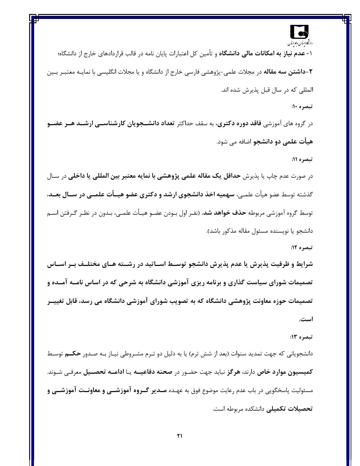## دانتجا پستان وغوحسان

۱**- عدم نیاز به امکانات مالی دانشگاه** و تأمین کل اعتبارات پایان نامه در قالب قراردادهای خارج از دانشگاه؛ ۲–د**اشتن سه مقاله** در مجلات علمی-پژوهشی فارسی خارج از دانشگاه و یا مجلات انگلیسی با نمایـه معتبـر بـین المللي كه در سال قبل پذيرش شده اند.

#### تبصره ۱۰:

در گروه های آموزشی فاقد **دوره دکتری**، به سقف حداکثر تعداد دانشــجویان کارشناســی ارشــد هــر عضــو **هیأت علمی دو دانشجو** اضافه می شود.

#### تبصره 11:

در صورت عدم چاپ یا پذیرش **حداقل یک مقاله علمی پژوهشی با نمایه معتبر بین المللی یا داخلی** در سـال گذشته توسط عضو هیأت علمـی، سهمیه اخذ دانشجوی ارشد و دکتری عضو هیــأت علمــی در ســال بعــد، توسط گروه آموزشی مربوطه **حذف خواهد شد**. (نفـر اول بـودن عضـو هيـأت علمـي، بـدون در نظـر گـرفتن اســم دانشجو يا نويسنده مسئول مقاله مذكور باشد).

#### تبصره 12:

شرایط و ظرفیت پذیرش یا عدم پذیرش دانشجو توسـط اسـاتید در رشــته هـای مختلــف بـر اســاس تصمیمات شورای سیاست گذاری و برنامه ریزی آموزشی دانشگاه به شرحی که در اساس نامــه آمــده و تصمیمات حوزه معاونت پژوهشی دانشگاه که به تصویب شورای آموزشی دانشگاه می رسد، قابل تغییــر است.

#### تبصره 13:

دانشجویانی که جهت تمدید سنوات (بعد از شش ترم) یا به دلیل دو تـرم مشـروطی نیــاز بــه صـدور **حـکــم** توســط كميسيون موارد خاص دارند، هرگز نبايد جهت حضـور در صحنه دفاعيــه يـا ادامــه تحصــيل معرفـي شـوند. مسئولیت پاسخگویی در باب عدم رعایت موضوع فوق به عهـده **مــدیر گــروه آموزشــی و معاونــت آموزشــی و** تحصیلات تکمیلی دانشکده مربوطه است.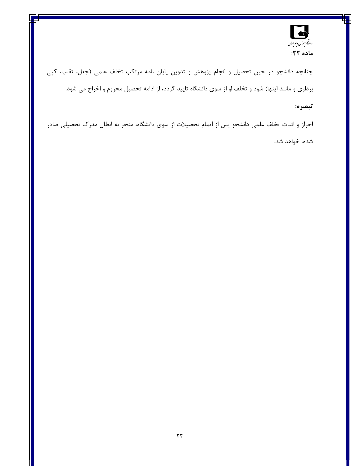

چنانچه دانشجو در حین تحصیل و انجام پژوهش و تدوین پایان نامه مرتکب تخلف علمی (جعل، تقلب، کپی برداری و مانند اینها) شود و تخلف او از سوی دانشگاه تایید گردد، از ادامه تحصیل محروم و اخراج می شود.

#### تبصره:

احراز و اثبات تخلف علمی دانشجو پس از اتمام تحصیلات از سوی دانشگاه، منجر به ابطال مدرک تحصیلی صادر شده، خواهد شد.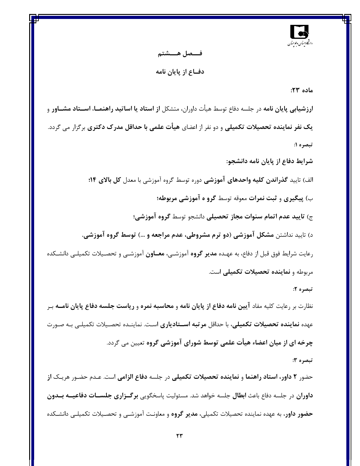

#### فــــصل هـــــشتم

دفــاع از پايان نامه

ماده ۲۳:

**ارزشیابی پایان نامه** در جلسه دفاع توسط هیأت داوران، متشکل **از استاد یا اساتید راهنمــا، اســتاد مشــاور** و یک نفر نماینده تحصیلات تکمیلی و دو نفر از اعضای هیأت علمی با حداقل مدرک دکتری برگزار می گردد. تبصره ۱:

شرایط دفاع از پایان نامه دانشجو:

الف) تاييد گذراندن كليه واحدهاي آموزشي دوره توسط گروه آموزشي با معدل كل بالاي ١۴: ب) پیگیری و ثبت نمرات معوقه توسط گرو ه آموزشی مربوطه؛ ج) تاييد عدم اتمام سنوات مجاز تحصيلي دانشجو توسط گروه آموزشي؛ د) تایید نداشتن مشکل آموزشی (دو ترم مشروطی، عدم مراجعه و …) توسط گروه آموزشی. رعایت شرایط فوق قبل از دفاع، به عهـده **مدیر گروه** آموزشـی، **معــاون** آموزشــی و تحصـیلات تکمیلــی دانشـکده مربوطه و نماینده تحصیلات تکمیلی است.

#### تبصره ۲:

نظارت بر رعایت کلیه مفاد آی**ین نامه دفاع از پایان نامه** و **محاسبه نمره و ریاست جلسه دفاع پایان نامــه** بـر عهده **نماینده تحصیلات تکمیلی**، با حداقل **مرتبه اســتادیاری** اسـت. نماینــده تحصـیلات تکمیلـی بـه صـورت چرخه ای از میان اعضاء هیأت علمی توسط شورای آموزشی گروه تعیین می گردد. تبصره 3:

حضور ۲ دا**ور، استاد راهنما و نماینده تحصیلات تکمیلی** در جلسه **دفاع الزامی** است. عـدم حضـور هریـک ا**ز داوران** در جلسه دفاع باعث **ابطال** جلسه خواهد شد. مسئولیت پاسخگویی **برگـزاری جلســات دفاعیــه بــدون حضور داور**، به عهده نماینده تحصیلات تکمیلی، **مدیر گروه** و معاونـت آموزشــی و تحصـیلات تکمیلــی دانشــکده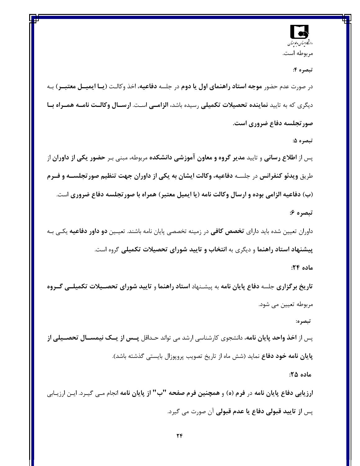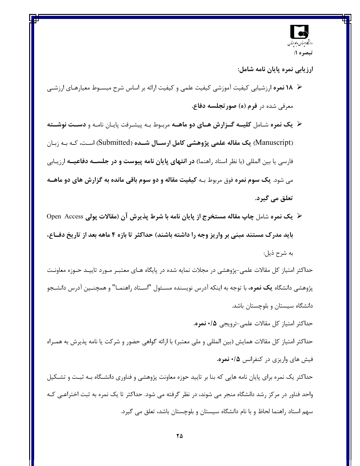

ارزیابی نمره پایان نامه شامل:

- × 18 نمره ارزشیابی کیفیت آموزشی کیفیت علمی و کیفیت ارائه بر اساس شرح مبسـوط معیارهـای ارزشـی معرفي شده در **فرم (ه) صورتجلسه دفاع.**
- **«گیک نمره شیامل کلیسه گیزارش هیای دو ماهیه** مربیوط بیه پیشترفت پاییان نامیه و **دسیت نوشیته** (Manuscript) یک مقاله علمی پژوهشی کامل ارســال شــده (Submitted) اسـت، کـه بـه زبـان فارسی یا بین المللی (با نظر استاد راهنما) **در انتهای پایان نامه پیوست و در جلســه دفاعیــه** ارزیـابی مي شود. يک سوم نمره فوق مربوط بـه کيفيت مقاله و دو سوم باقي مانده به گزارش هاي دو ماهــه تعلق مي گيرد.
- × یک نمره شامل چاپ مقاله مستخرج از پایان نامه با شرط پذیرش آن (مقالات پولی Open Access باید مدرک مستند مبنی بر واریز وجه را داشته باشند) حداکثر تا بازه ۴ ماهه بعد از تاریخ دفــاع، به شرح ذیل:

حداکثر امتیاز کل مقالات علمی-پژوهشی در مجلات نمایه شده در پایگاه هـای معتبـر مـورد تاییـد حـوزه معاونـت پژوهشی دانشگاه **یک نمره،** با توجه به اینکه آدرس نویسنده مسـئول "اســتاد راهنمــا" و همچنــین آدرس دانشــجو دانشگاه سیستان و بلوچستان باشد.

حداكثر امتياز كل مقالات علمي-ترويجي ١٥٠ نمره.

حداکثر امتیاز کل مقالات همایش (بین المللی و ملی معتبر) با ارائه گواهی حضور و شرکت یا نامه پذیرش به همـراه فیش های واریزی در کنفرانس ۰/۵ نمره.

حداکثر یک نمره برای پایان نامه هایی که بنا بر تایید حوزه معاونت پژوهشی و فناوری دانشـگاه بــه ثبـت و تشـکیل واحد فناور در مرکز رشد دانشگاه منجر می شوند، در نظر گرفته می شود. حداکثر تا یک نمره به ثبت اختراعـی کـه سهم استاد راهنما لحاظ و با نام دانشگاه سیستان و بلوچستان باشد، تعلق می گیرد.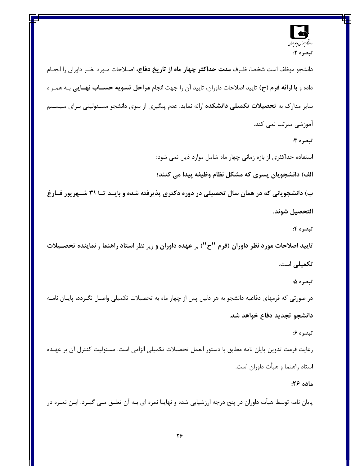

دانشجو موظف است شخصا، ظـرف م**دت حداكثر چهار ماه از تاريخ دفاع،** اصـلاحات مـورد نظـر داوران را انجـام داده و با ارائه فرم (ح) تاييد اصلاحات داوران، تاييد آن را جهت انجام مراحل تسويه حسـاب نهـايي بـه همـراه سایر مدارک به تحصیلات تکمیلی دانشکده ارائه نماید. عدم پیگیری از سوی دانشجو مسـئولیتی بـرای سیسـتم آموزشی مترتب نمی کند. تبصره 3: استفاده حداکثری از بازه زمانی چهار ماه شامل موارد ذیل نمی شود: الف) دانشجويان پسري كه مشكل نظام وظيفه پيدا مي كنند؛ ب) دانشجویانی که در همان سال تحصیلی در دوره دکتری پذیرفته شده و بایـد تـا ۳۱ شـهریور فـارغ التحصيل شوند. تبصره ۴: تاييد اصلاحات مورد نظر داوران (فرم "ح") بر عهده داوران و زير نظر استاد راهنما و نماينده تحصـيلات تكميلى است. تبصره ۵: در صورتی که فرمهای دفاعیه دانشجو به هر دلیل پس از چهار ماه به تحصیلات تکمیلی واصـل نگـردد، پایــان نامــه دانشجو تجدید دفاع خواهد شد.

#### تبصره ۶:

رعايت فرمت تدوين پايان نامه مطابق با دستور العمل تحصيلات تكميلي الزامي است. مسئوليت كنترل آن بر عهـده استاد راهنما و هیأت داوران است.

#### ماده ۲۶:

پایان نامه توسط هیأت داوران در پنج درجه ارزشیابی شده و نهایتا نمره ای بـه آن تعلـق مـی گیـرد. ایـن نمـره در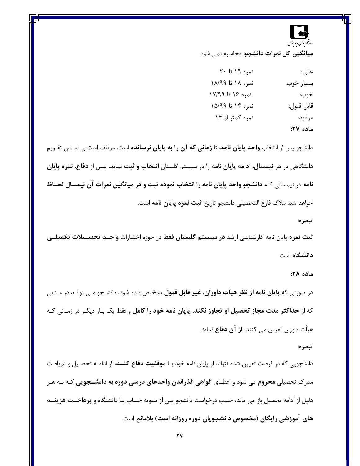# دانتكا وستان وعوحتان

<mark>میانگین کل نمرات دانشجو</mark> محاسبه نمی شود.

| عالى:      | نمره ۱۹ تا ۲۰    |
|------------|------------------|
| بسيار خوب: | نمره ۱۸ تا ۱۸/۹۹ |
| خوب:       | نمره ۱۶ تا ۱۷/۹۹ |
| قابل قبول: | نمره ۱۴ تا ۱۵/۹۹ |
| مردود:     | نمره کمتر از ۱۴  |
| ماده ۲۷:   |                  |

دانشجو پس از انتخاب **واحد پایان نامه،** تا **زمانی که آن را به پایان نرسانده** است، موظف است بر اسـاس تقــویم دانشگاه<sub>ی</sub> در هر **نیمسال، ادامه پایان نامه** را در سیستم گلستان **انتخاب و ثبت** نماید. پـس از **دفاع، نمره پایان** نامه در نیمسالی کـه دانشجو واحد پایان نامه را انتخاب نموده ثبت و در میانگین نمرات آن نیمسال لحـاظ خواهد شد. ملاک فارغ التحصیلی دانشجو تاریخ **ثبت نمره پایان نامه** است.

تبصره:

ثبت نمره پایان نامه کارشناسی ارشد **در سیستم گلستان فقط** در حوزه اختیارات **واحــد تحصــیلات تکمیلــی دانشگاه** است.

#### ماده ۲۸:

در صورتی که **پایان نامه از نظر هیأت داوران، غیر قابل قبول** تشخیص داده شود، دانشـجو مـی توانـد در مـدتی که از **حداکثر مدت مجاز تحصیل او تجاوز نکند، پایان نامه خود را کامل** و فقط یک بـار دیگـر در زمـانی کـه هیأت داوران تعیین می کنند، **از آن دفاع** نماید.

#### تبصره:

دانشجویی که در فرصت تعیین شده نتواند از پایان نامه خود بـا **موفقیت دفاع کنــد،** از ادامــه تحصــیل و دریافـت مدرک تحصیلی **محروم** می شود و اعطـای **گواهی گذراندن واحدهای درسی دوره به دانشــجویی** کـه بـه هـر دلیل از ادامه تحصیل باز می ماند، حسب درخواست دانشجو پس از تسویه حساب بـا دانشـگاه و پرداخــت هزینــه های آموزشی رایگان (مخصوص دانشجویان دوره روزانه است) بلامانع است.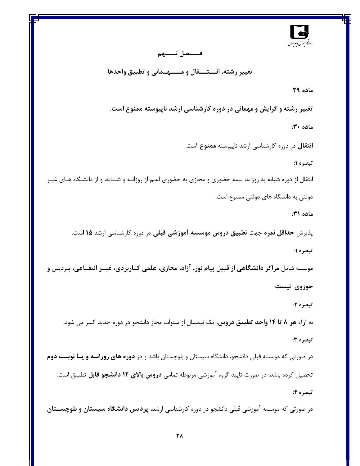

#### فــــصل نـــــهم

تغییر رشته، انـــتـــقال و مـــــهــمانی و تطبیق واحدها

ماده ۲۹:

تغییر رشته و گرایش و مهمانی در دوره کارشناسی ارشد ناپیوسته ممنوع است.

ماده ۳۰:

**انتقال** در دوره کارشناسی ارشد ناپیوسته ممنوع است.

تبصره ۱:

انتقال از دوره شبانه به روزانه، نیمه حضوری و مجازی به حضوری اعـم از روزانــه و شــبانه، و از دانشـگاه هــای غیــر دولتی به دانشگاه های دولتی ممنوع است.

ماده ۳۱:

پذیرش **حداقل نمره** جهت **تطبیق دروس موسسه آموزشی قبلی** در دوره کارشناسی ارشد **۱۵** است. تبصره ۱:

موسسه شامل مراکز دانشگاهی از قبیل پیام نور، آزاد، مجازی، علمی کــاربردی، غیــر انتفــاعی، پـردیس و حوزوی نیست.

تبصره ۲:

به **ازاء هر ۸ تا ۱۴ واحد تطبیق دروس،** یک نیمسال از سنوات مجاز دانشجو در دوره جدید کسر می شود.

تبصره ۳:

در صورتی که موسسه قبلی دانشجو، دانشگاه سیستان و بلوچستان باشد و در **دوره های روزانــه و یــا نوبــت دوم** تحصیل کرده باشد، در صورت تایید گروه آموزشی مربوطه تمامی **دروس بالای ۱۲ دانشجو قابل** تطبیق است. تبصره ۴:

در صورتی که موسسه آموزشی قبلی دانشجو در دوره کارشناسی ارشد، **پردیس دانشگاه سیستان و بلوچســتان**